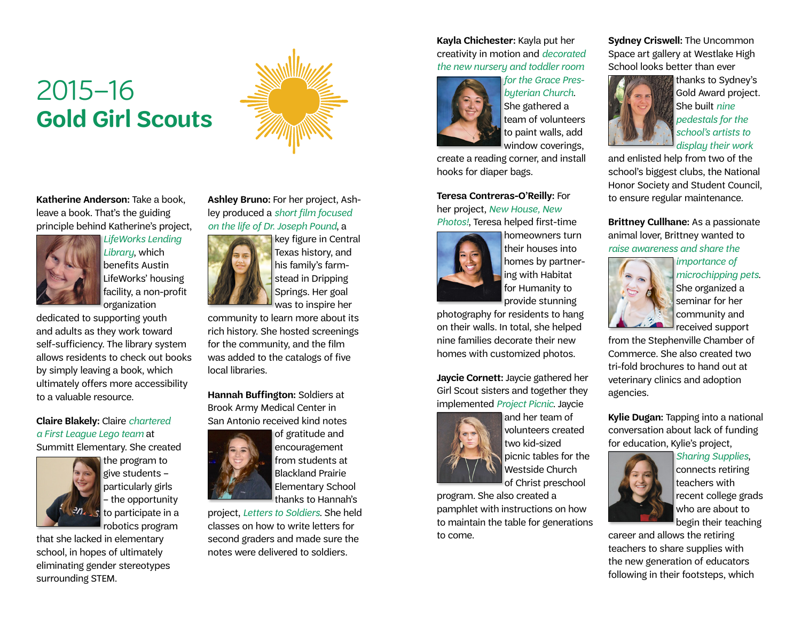# 2015–16 **Gold Girl Scouts**



**Katherine Anderson:** Take a book, leave a book. That's the guiding principle behind Katherine's project,



*LifeWorks Lending Library*, which benefits Austin LifeWorks' housing facility, a non-profit organization

dedicated to supporting youth and adults as they work toward self-sufficiency. The library system allows residents to check out books by simply leaving a book, which ultimately offers more accessibility to a valuable resource.

### **Claire Blakely:** Claire *chartered a First League Lego team* at

Summitt Elementary. She created



the program to give students – particularly girls – the opportunity s to participate in a robotics program

that she lacked in elementary school, in hopes of ultimately eliminating gender stereotypes surrounding STEM.

**Ashley Bruno:** For her project, Ashley produced a *short film focused on the life of Dr. Joseph Pound*, a



key figure in Central Texas history, and his family's farmstead in Dripping Springs. Her goal

community to learn more about its rich history. She hosted screenings for the community, and the film was added to the catalogs of five local libraries.

**Hannah Buffington:** Soldiers at Brook Army Medical Center in San Antonio received kind notes

thanks to Hannah's

project, *Letters to Soldiers*. She held classes on how to write letters for second graders and made sure the notes were delivered to soldiers.

#### **Kayla Chichester:** Kayla put her creativity in motion and *decorated the new nursery and toddler room*



*for the Grace Presbyterian Church*. She gathered a team of volunteers to paint walls, add window coverings,

create a reading corner, and install hooks for diaper bags.

**Teresa Contreras-O'Reilly:** For her project, *New House, New Photos!*, Teresa helped first-time



homeowners turn their houses into homes by partnering with Habitat for Humanity to

provide stunning photography for residents to hang on their walls. In total, she helped nine families decorate their new homes with customized photos.

**Jaycie Cornett:** Jaycie gathered her Girl Scout sisters and together they implemented *Project Picnic*. Jaycie



of Christ preschool program. She also created a pamphlet with instructions on how to maintain the table for generations to come.

**Sydney Criswell:** The Uncommon Space art gallery at Westlake High School looks better than ever



thanks to Sydney's Gold Award project. She built *nine pedestals for the school's artists to* 

*display their work*

and enlisted help from two of the school's biggest clubs, the National Honor Society and Student Council, to ensure regular maintenance.

**Brittney Cullhane:** As a passionate animal lover, Brittney wanted to *raise awareness and share the* 



*importance of microchipping pets*. She organized a seminar for her community and received support

from the Stephenville Chamber of Commerce. She also created two tri-fold brochures to hand out at veterinary clinics and adoption agencies.

**Kylie Dugan:** Tapping into a national conversation about lack of funding for education, Kylie's project,



*Sharing Supplies*, connects retiring teachers with recent college grads who are about to begin their teaching

career and allows the retiring teachers to share supplies with the new generation of educators following in their footsteps, which

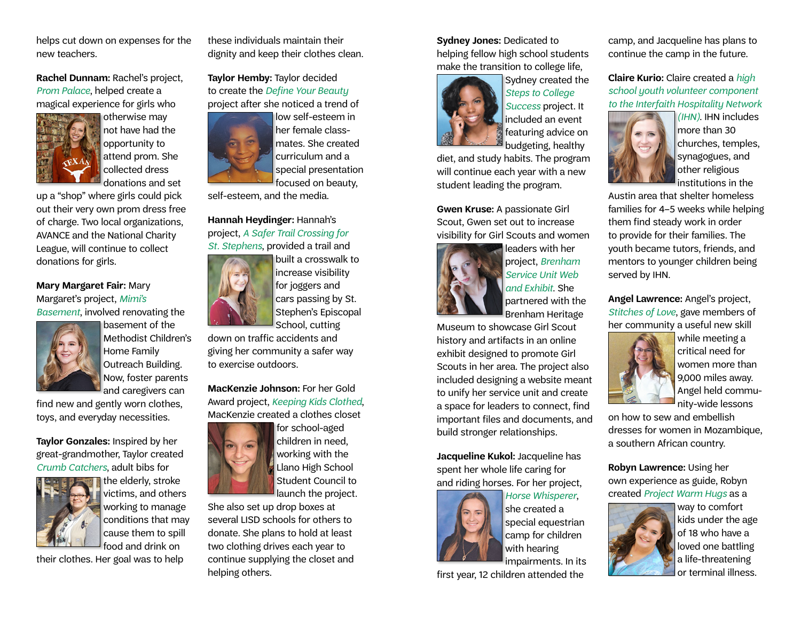helps cut down on expenses for the new teachers.

**Rachel Dunnam:** Rachel's project, *Prom Palace*, helped create a magical experience for girls who



otherwise may not have had the opportunity to attend prom. She collected dress donations and set

up a "shop" where girls could pick out their very own prom dress free of charge. Two local organizations, AVANCE and the National Charity League, will continue to collect donations for girls.

## **Mary Margaret Fair:** Mary Margaret's project, *Mimi's*

*Basement*, involved renovating the basement of the



Methodist Children's Home Family Outreach Building. Now, foster parents

find new and gently worn clothes, toys, and everyday necessities.

**Taylor Gonzales:** Inspired by her great-grandmother, Taylor created *Crumb Catchers*, adult bibs for



the elderly, stroke victims, and others working to manage conditions that may cause them to spill food and drink on

their clothes. Her goal was to help

these individuals maintain their dignity and keep their clothes clean.

**Taylor Hemby:** Taylor decided to create the *Define Your Beauty* project after she noticed a trend of



low self-esteem in her female classmates. She created curriculum and a special presentation

self-esteem, and the media.

**Hannah Heydinger:** Hannah's project, *A Safer Trail Crossing for St. Stephens*, provided a trail and



built a crosswalk to increase visibility cars passing by St. Stephen's Episcopal

down on traffic accidents and giving her community a safer way to exercise outdoors.

**MacKenzie Johnson:** For her Gold Award project, *Keeping Kids Clothed*, MacKenzie created a clothes closet



for school-aged children in need, working with the Llano High School Student Council to launch the project.

She also set up drop boxes at several LISD schools for others to donate. She plans to hold at least two clothing drives each year to continue supplying the closet and helping others.

#### **Sydney Jones:** Dedicated to helping fellow high school students make the transition to college life,



Sydney created the *Steps to College Success* project. It included an event featuring advice on budgeting, healthy

diet, and study habits. The program will continue each year with a new student leading the program.

**Gwen Kruse:** A passionate Girl Scout, Gwen set out to increase visibility for Girl Scouts and women



leaders with her project, *Brenham Service Unit Web and Exhibit*. She partnered with the Brenham Heritage

Museum to showcase Girl Scout history and artifacts in an online exhibit designed to promote Girl Scouts in her area. The project also included designing a website meant to unify her service unit and create a space for leaders to connect, find important files and documents, and build stronger relationships.

**Jacqueline Kukol:** Jacqueline has spent her whole life caring for and riding horses. For her project,



*Horse Whisperer*, she created a special equestrian camp for children with hearing impairments. In its

first year, 12 children attended the

camp, and Jacqueline has plans to continue the camp in the future.

**Claire Kurio:** Claire created a *high school youth volunteer component to the Interfaith Hospitality Network* 



*(IHN)*. IHN includes more than 30 churches, temples, synagogues, and other religious institutions in the

Austin area that shelter homeless families for 4–5 weeks while helping them find steady work in order to provide for their families. The youth became tutors, friends, and mentors to younger children being served by IHN.

**Angel Lawrence:** Angel's project, *Stitches of Love*, gave members of her community a useful new skill



while meeting a critical need for women more than 9,000 miles away. Angel held community-wide lessons

on how to sew and embellish dresses for women in Mozambique, a southern African country.

**Robyn Lawrence:** Using her own experience as guide, Robyn created *Project Warm Hugs* as a



way to comfort kids under the age of 18 who have a loved one battling a life-threatening or terminal illness.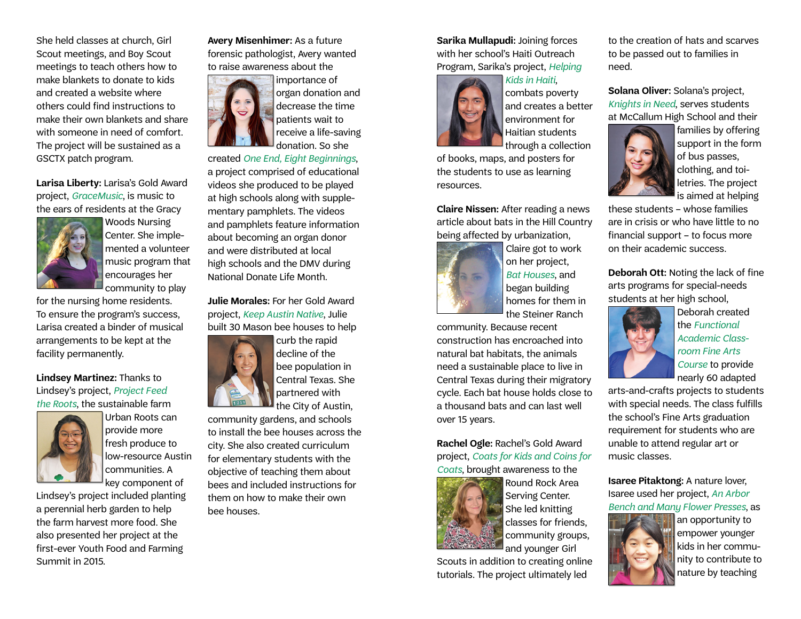She held classes at church, Girl Scout meetings, and Boy Scout meetings to teach others how to make blankets to donate to kids and created a website where others could find instructions to make their own blankets and share with someone in need of comfort. The project will be sustained as a GSCTX patch program.

**Larisa Liberty:** Larisa's Gold Award project, *GraceMusic*, is music to the ears of residents at the Gracy



Woods Nursing Center. She implemented a volunteer music program that encourages her community to play

for the nursing home residents. To ensure the program's success, Larisa created a binder of musical arrangements to be kept at the facility permanently.

**Lindsey Martinez:** Thanks to Lindsey's project, *Project Feed the Roots*, the sustainable farm



Urban Roots can provide more fresh produce to low-resource Austin communities. A key component of

Lindsey's project included planting a perennial herb garden to help the farm harvest more food. She also presented her project at the first-ever Youth Food and Farming Summit in 2015.

#### **Avery Misenhimer:** As a future forensic pathologist, Avery wanted to raise awareness about the



importance of organ donation and decrease the time patients wait to receive a life-saving donation. So she

created *One End, Eight Beginnings*, a project comprised of educational videos she produced to be played at high schools along with supplementary pamphlets. The videos and pamphlets feature information about becoming an organ donor and were distributed at local high schools and the DMV during National Donate Life Month.

**Julie Morales:** For her Gold Award project, *Keep Austin Native*, Julie built 30 Mason bee houses to help



curb the rapid decline of the bee population in Central Texas. She partnered with the City of Austin,

community gardens, and schools to install the bee houses across the city. She also created curriculum for elementary students with the objective of teaching them about bees and included instructions for them on how to make their own bee houses.

**Sarika Mullapudi:** Joining forces with her school's Haiti Outreach Program, Sarika's project, *Helping* 



*Kids in Haiti*, combats poverty and creates a better environment for Haitian students through a collection

of books, maps, and posters for the students to use as learning resources.

**Claire Nissen:** After reading a news article about bats in the Hill Country being affected by urbanization,



Claire got to work on her project, *Bat Houses*, and began building homes for them in the Steiner Ranch

community. Because recent construction has encroached into natural bat habitats, the animals need a sustainable place to live in Central Texas during their migratory cycle. Each bat house holds close to a thousand bats and can last well over 15 years.

**Rachel Ogle:** Rachel's Gold Award project, *Coats for Kids and Coins for Coats*, brought awareness to the



Round Rock Area Serving Center. She led knitting classes for friends, community groups, and younger Girl

Scouts in addition to creating online tutorials. The project ultimately led

to the creation of hats and scarves to be passed out to families in need.

**Solana Oliver:** Solana's project, *Knights in Need*, serves students at McCallum High School and their



families by offering support in the form of bus passes, clothing, and toiletries. The project is aimed at helping

these students – whose families are in crisis or who have little to no financial support – to focus more on their academic success.

**Deborah Ott:** Noting the lack of fine arts programs for special-needs students at her high school,



Deborah created the *Functional Academic Classroom Fine Arts Course* to provide nearly 60 adapted

arts-and-crafts projects to students with special needs. The class fulfills the school's Fine Arts graduation requirement for students who are unable to attend regular art or music classes.

**Isaree Pitaktong:** A nature lover, Isaree used her project, *An Arbor Bench and Many Flower Presses*, as



an opportunity to empower younger kids in her community to contribute to nature by teaching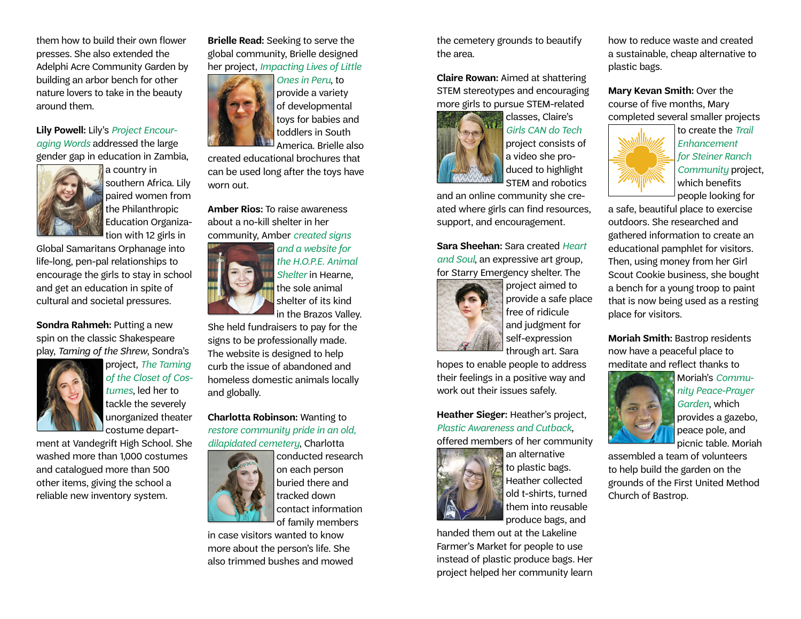them how to build their own flower presses. She also extended the Adelphi Acre Community Garden by building an arbor bench for other nature lovers to take in the beauty around them.

**Lily Powell:** Lily's *Project Encouraging Words* addressed the large gender gap in education in Zambia,



a country in southern Africa. Lily paired women from the Philanthropic Education Organization with 12 girls in

Global Samaritans Orphanage into life-long, pen-pal relationships to encourage the girls to stay in school and get an education in spite of cultural and societal pressures.

**Sondra Rahmeh:** Putting a new spin on the classic Shakespeare play, *Taming of the Shrew*, Sondra's



project, *The Taming of the Closet of Costumes*, led her to tackle the severely unorganized theater <sup>l</sup> costume depart-

ment at Vandegrift High School. She washed more than 1,000 costumes and catalogued more than 500 other items, giving the school a reliable new inventory system.

**Brielle Read:** Seeking to serve the global community, Brielle designed her project, *Impacting Lives of Little* 



*Ones in Peru*, to provide a variety of developmental toys for babies and toddlers in South America. Brielle also

created educational brochures that can be used long after the toys have worn out.

**Amber Rios:** To raise awareness about a no-kill shelter in her community, Amber *created signs* 



*and a website for the H.O.P.E. Animal Shelter* in Hearne, the sole animal shelter of its kind

in the Brazos Valley. She held fundraisers to pay for the signs to be professionally made. The website is designed to help curb the issue of abandoned and homeless domestic animals locally and globally.

**Charlotta Robinson:** Wanting to *restore community pride in an old, dilapidated cemetery*, Charlotta



conducted research on each person buried there and tracked down contact information of family members

in case visitors wanted to know more about the person's life. She also trimmed bushes and mowed the cemetery grounds to beautify the area.

**Claire Rowan:** Aimed at shattering STEM stereotypes and encouraging more girls to pursue STEM-related



*Girls CAN do Tech* project consists of a video she produced to highlight STEM and robotics

and an online community she created where girls can find resources, support, and encouragement.

**Sara Sheehan:** Sara created *Heart and Soul*, an expressive art group, for Starry Emergency shelter. The



project aimed to provide a safe place free of ridicule and judgment for self-expression through art. Sara

hopes to enable people to address their feelings in a positive way and work out their issues safely.

**Heather Sieger:** Heather's project, *Plastic Awareness and Cutback*, offered members of her community



an alternative to plastic bags. Heather collected old t-shirts, turned them into reusable

produce bags, and handed them out at the Lakeline Farmer's Market for people to use instead of plastic produce bags. Her

project helped her community learn

how to reduce waste and created a sustainable, cheap alternative to plastic bags.

**Mary Kevan Smith:** Over the course of five months, Mary completed several smaller projects



to create the *Trail Enhancement for Steiner Ranch Community* project, which benefits people looking for

a safe, beautiful place to exercise outdoors. She researched and gathered information to create an educational pamphlet for visitors. Then, using money from her Girl Scout Cookie business, she bought a bench for a young troop to paint that is now being used as a resting place for visitors.

**Moriah Smith:** Bastrop residents now have a peaceful place to meditate and reflect thanks to



Moriah's *Community Peace-Prayer Garden*, which provides a gazebo, peace pole, and picnic table. Moriah

assembled a team of volunteers to help build the garden on the grounds of the First United Method Church of Bastrop.